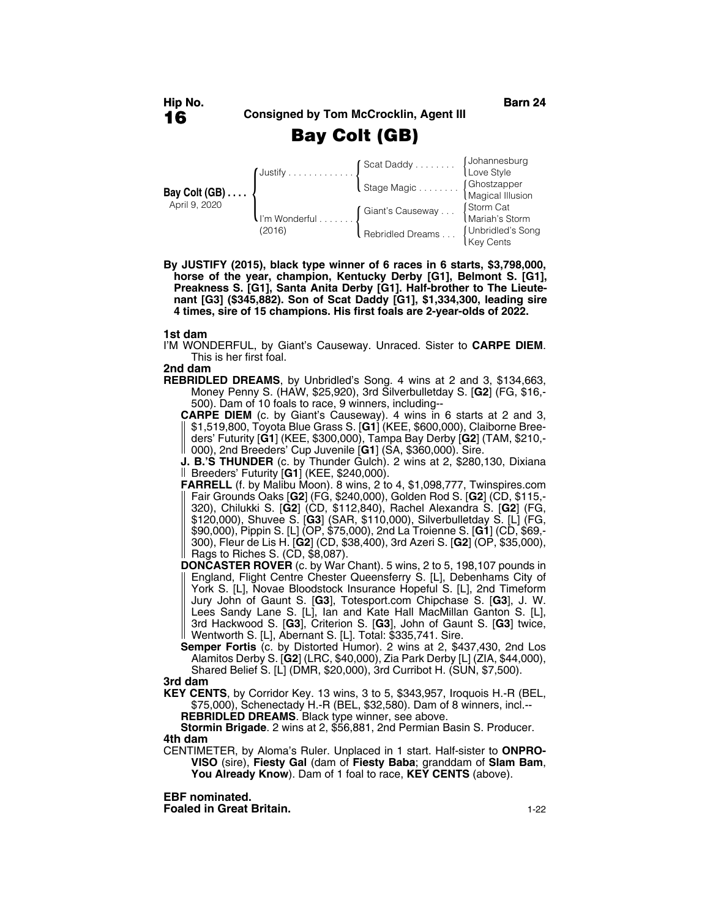# **Bay Colt (GB)**

|                                         | $\int$ Justify                       | Scat Daddy Uohannesburg<br>Love Style        |                             |
|-----------------------------------------|--------------------------------------|----------------------------------------------|-----------------------------|
| Bay Colt $(GB) \ldots$<br>April 9, 2020 |                                      | Stage Magic (Ghostzapper<br>Magical Illusion |                             |
|                                         | $\mathsf{I}$ i'm Wonderful<br>(2016) | Giant's Causeway                             | Storm Cat<br>Mariah's Storm |
|                                         |                                      | Rebridled Dreams [Unbridled's Song           | Key Cents                   |

**By JUSTIFY (2015), black type winner of 6 races in 6 starts, \$3,798,000, horse of the year, champion, Kentucky Derby [G1], Belmont S. [G1], Preakness S. [G1], Santa Anita Derby [G1]. Half-brother to The Lieutenant [G3] (\$345,882). Son of Scat Daddy [G1], \$1,334,300, leading sire 4 times, sire of 15 champions. His first foals are 2-year-olds of 2022.**

### **1st dam**

I'M WONDERFUL, by Giant's Causeway. Unraced. Sister to **CARPE DIEM**. This is her first foal.

#### **2nd dam**

**REBRIDLED DREAMS**, by Unbridled's Song. 4 wins at 2 and 3, \$134,663, Money Penny S. (HAW, \$25,920), 3rd Silverbulletday S. [**G2**] (FG, \$16,- 500). Dam of 10 foals to race, 9 winners, including--

**CARPE DIEM** (c. by Giant's Causeway). 4 wins in 6 starts at 2 and 3, \$1,519,800, Toyota Blue Grass S. [**G1**] (KEE, \$600,000), Claiborne Breeders' Futurity [**G1**] (KEE, \$300,000), Tampa Bay Derby [**G2**] (TAM, \$210,- 000), 2nd Breeders' Cup Juvenile [**G1**] (SA, \$360,000). Sire.

**J. B.'S THUNDER** (c. by Thunder Gulch). 2 wins at 2, \$280,130, Dixiana Breeders' Futurity [**G1**] (KEE, \$240,000).

- **FARRELL** (f. by Malibu Moon). 8 wins, 2 to 4, \$1,098,777, Twinspires.com Fair Grounds Oaks [**G2**] (FG, \$240,000), Golden Rod S. [**G2**] (CD, \$115,- 320), Chilukki S. [**G2**] (CD, \$112,840), Rachel Alexandra S. [**G2**] (FG, \$120,000), Shuvee S. [**G3**] (SAR, \$110,000), Silverbulletday S. [L] (FG, \$90,000), Pippin S. [L] (OP, \$75,000), 2nd La Troienne S. [**G1**] (CD, \$69,- 300), Fleur de Lis H. [**G2**] (CD, \$38,400), 3rd Azeri S. [**G2**] (OP, \$35,000),  $\parallel$  Rags to Riches S. (CD, \$8,087).
- **DONCASTER ROVER** (c. by War Chant). 5 wins, 2 to 5, 198,107 pounds in England, Flight Centre Chester Queensferry S. [L], Debenhams City of York S. [L], Novae Bloodstock Insurance Hopeful S. [L], 2nd Timeform Jury John of Gaunt S. [**G3**], Totesport.com Chipchase S. [**G3**], J. W. Lees Sandy Lane S. [L], Ian and Kate Hall MacMillan Ganton S. [L], 3rd Hackwood S. [**G3**], Criterion S. [**G3**], John of Gaunt S. [**G3**] twice, Wentworth S. [L], Abernant S. [L]. Total: \$335,741. Sire.

**Semper Fortis** (c. by Distorted Humor). 2 wins at 2, \$437,430, 2nd Los Alamitos Derby S. [**G2**] (LRC, \$40,000), Zia Park Derby [L] (ZIA, \$44,000), Shared Belief S. [L] (DMR, \$20,000), 3rd Curribot H. (SUN, \$7,500).

#### **3rd dam**

**KEY CENTS**, by Corridor Key. 13 wins, 3 to 5, \$343,957, Iroquois H.-R (BEL, \$75,000), Schenectady H.-R (BEL, \$32,580). Dam of 8 winners, incl.--

**REBRIDLED DREAMS**. Black type winner, see above.

**Stormin Brigade**. 2 wins at 2, \$56,881, 2nd Permian Basin S. Producer. **4th dam**

CENTIMETER, by Aloma's Ruler. Unplaced in 1 start. Half-sister to **ONPRO-VISO** (sire), **Fiesty Gal** (dam of **Fiesty Baba**; granddam of **Slam Bam**, **You Already Know**). Dam of 1 foal to race, **KEY CENTS** (above).

**EBF nominated.**

**Foaled in Great Britain.** 1-22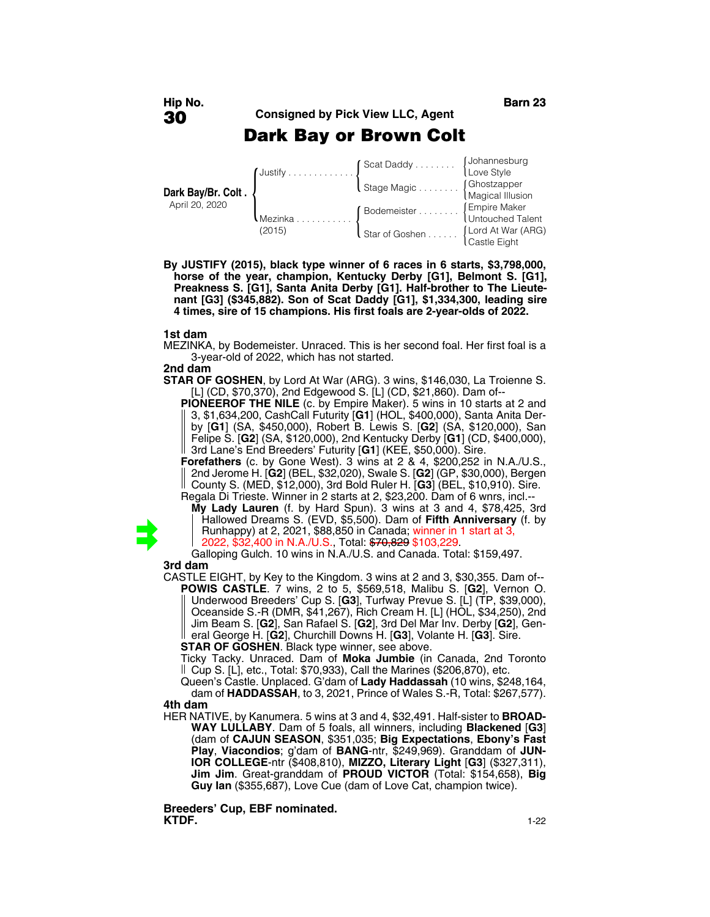# **Dark Bay or Brown Colt**

|                                      | $\int$ Justify    | Scat Daddy JJohannesburg<br>Love Style       |                  |
|--------------------------------------|-------------------|----------------------------------------------|------------------|
| Dark Bay/Br. Colt.<br>April 20, 2020 |                   | Stage Magic (Ghostzapper<br>Magical Illusion |                  |
|                                      | Mezinka<br>(2015) | Bodemeister  [Empire Maker                   | Untouched Talent |
|                                      |                   | I Star of Goshen [Lord At War (ARG)          | Castle Eight     |

**By JUSTIFY (2015), black type winner of 6 races in 6 starts, \$3,798,000, horse of the year, champion, Kentucky Derby [G1], Belmont S. [G1], Preakness S. [G1], Santa Anita Derby [G1]. Half-brother to The Lieutenant [G3] (\$345,882). Son of Scat Daddy [G1], \$1,334,300, leading sire 4 times, sire of 15 champions. His first foals are 2-year-olds of 2022.**

### **1st dam**

MEZINKA, by Bodemeister. Unraced. This is her second foal. Her first foal is a 3-year-old of 2022, which has not started.

#### **2nd dam**

**STAR OF GOSHEN**, by Lord At War (ARG). 3 wins, \$146,030, La Troienne S. [L] (CD, \$70,370), 2nd Edgewood S. [L] (CD, \$21,860). Dam of--

**PIONEEROF THE NILE** (c. by Empire Maker). 5 wins in 10 starts at 2 and 3, \$1,634,200, CashCall Futurity [**G1**] (HOL, \$400,000), Santa Anita Derby [**G1**] (SA, \$450,000), Robert B. Lewis S. [**G2**] (SA, \$120,000), San Felipe S. [**G2**] (SA, \$120,000), 2nd Kentucky Derby [**G1**] (CD, \$400,000), 3rd Lane's End Breeders' Futurity [**G1**] (KEE, \$50,000). Sire.

**Forefathers** (c. by Gone West). 3 wins at 2 & 4, \$200,252 in N.A./U.S., 2nd Jerome H. [**G2**] (BEL, \$32,020), Swale S. [**G2**] (GP, \$30,000), Bergen County S. (MED, \$12,000), 3rd Bold Ruler H. [**G3**] (BEL, \$10,910). Sire. Regala Di Trieste. Winner in 2 starts at 2, \$23,200. Dam of 6 wnrs, incl.--



**My Lady Lauren** (f. by Hard Spun). 3 wins at 3 and 4, \$78,425, 3rd Hallowed Dreams S. (EVD, \$5,500). Dam of **Fifth Anniversary** (f. by Runhappy) at 2, 2021, \$88,850 in Canada; winner in 1 start at 3, 2022, \$32,400 in N.A./U.S., Total: \$70,829 \$103,229.

Galloping Gulch. 10 wins in N.A./U.S. and Canada. Total: \$159,497. **3rd dam**

CASTLE EIGHT, by Key to the Kingdom. 3 wins at 2 and 3, \$30,355. Dam of-- **POWIS CASTLE**. 7 wins, 2 to 5, \$569,518, Malibu S. [**G2**], Vernon O. Underwood Breeders' Cup S. [**G3**], Turfway Prevue S. [L] (TP, \$39,000), Oceanside S.-R (DMR, \$41,267), Rich Cream H. [L] (HOL, \$34,250), 2nd Jim Beam S. [**G2**], San Rafael S. [**G2**], 3rd Del Mar Inv. Derby [**G2**], General George H. [**G2**], Churchill Downs H. [**G3**], Volante H. [**G3**]. Sire. **STAR OF GOSHEN**. Black type winner, see above.

Ticky Tacky. Unraced. Dam of **Moka Jumbie** (in Canada, 2nd Toronto

Cup S. [L], etc., Total: \$70,933), Call the Marines (\$206,870), etc.

Queen's Castle. Unplaced. G'dam of **Lady Haddassah** (10 wins, \$248,164, dam of **HADDASSAH**, to 3, 2021, Prince of Wales S.-R, Total: \$267,577). **4th dam**

HER NATIVE, by Kanumera. 5 wins at 3 and 4, \$32,491. Half-sister to **BROAD-WAY LULLABY**. Dam of 5 foals, all winners, including **Blackened** [**G3**] (dam of **CAJUN SEASON**, \$351,035; **Big Expectations**, **Ebony's Fast Play**, **Viacondios**; g'dam of **BANG**-ntr, \$249,969). Granddam of **JUN-IOR COLLEGE**-ntr (\$408,810), **MIZZO, Literary Light** [**G3**] (\$327,311), **Jim Jim**. Great-granddam of **PROUD VICTOR** (Total: \$154,658), **Big Guy Ian** (\$355,687), Love Cue (dam of Love Cat, champion twice).

**Breeders' Cup, EBF nominated. KTDF.** 1-22